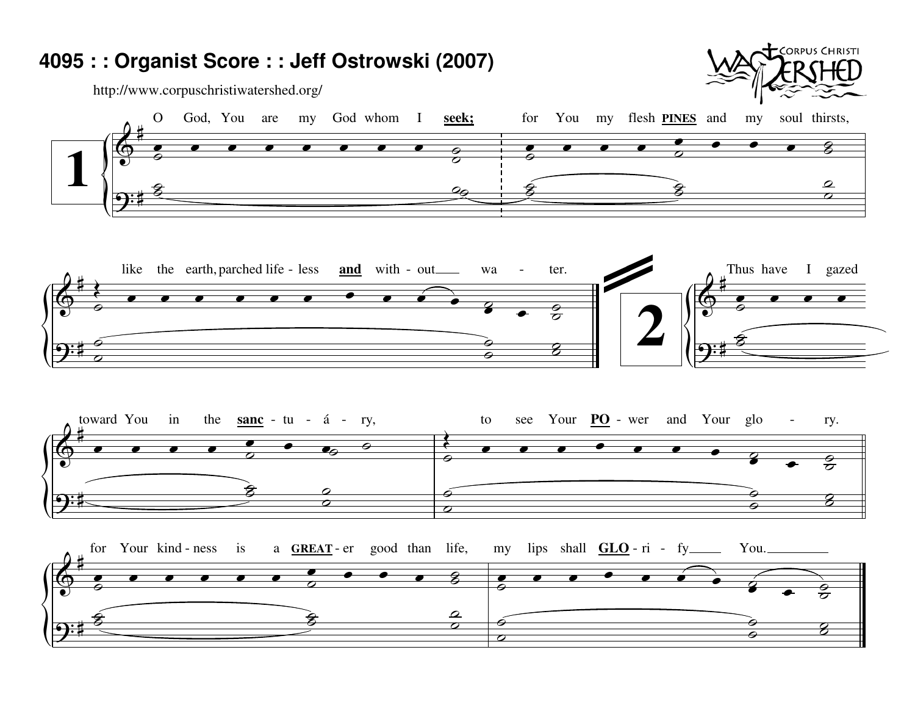## 4095 : : Organist Score : : Jeff Ostrowski (2007)

http://www.corpuschristiwatershed.org/